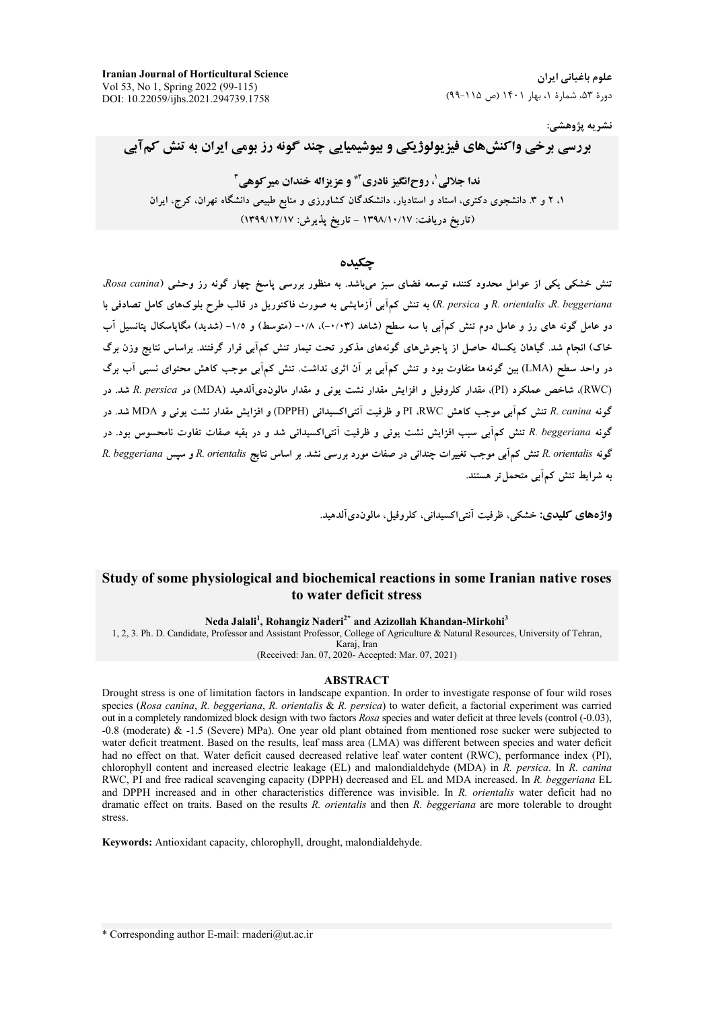نشريه پژوهشي:

# بررسی برخی واکنشهای فیزیولوژیکی و بیوشیمیایی چند گونه رز بومی ایران به تنش کمآبی

ندا حلالي'، روحانگيز نادري"\* و عز بزاله خندان مير كوهي " ۱، ۲ و ۳. دانشجوی دکتری، استاد و استادیار، دانشکدگان کشاورزی و منابع طبیعی دانشگاه تهران، کرج، ایران (تاریخ دریافت: ۱۳۹۸/۱۰/۱۷ – تاریخ پذیرش: ۱۳۹۹/۱۲/۱۷)

حكىدە

.<br>تنش خشکی یکی از عوامل محدود کننده توسعه فضای سبز میباشد. به منظور بررسی یاسخ چهار گونه رز وحشی (Rosa canina. R. orientalis .R. beggeriana و R. persica) به تنش كمآبي آزمايشي به صورت فاكتوريل در قالب طرح بلوكهاي كامل تصادفي با دو عامل گونه های رز و عامل دوم تنش کمآبی با سه سطح (شاهد (۰/۰۳-)، ۰/۸- (متوسط) و ۱/۵- (شدید) مگاپاسکال پتانسیل آب خاک) انجام شد. گیاهان یکساله حاصل از یاجوشهای گونههای مذکور تحت تیمار تنش کمآبی قرار گرفتند. براساس نتایج وزن برگ در واحد سطح (LMA) بین گونهها متفاوت بود و تنش کمآبی بر آن اثری نداشت. تنش کمآبی موجب کاهش محتوای نسبی آب برگ (RWC)، شاخص عملکرد (PI)، مقدار کلروفیل و افزایش مقدار نشت یونی و مقدار مالوندیآلدهید (MDA) در R. persica شد. در گونه R. canina تنش کمآبی موجب کاهش PI .RWC و ظرفیت آنتی اکسیدانی (DPPH) و افزایش مقدار نشت یونی و MDA شد. در گونه R. beggeriana تنش کمآبی سبب افزایش نشت یونی و ظرفیت آنتی|کسیدانی شد و در بقیه صفات تفاوت نامحسوس بود. در گونه R. orientalis تنش کمآبی موجب تغییرات چندانی در صفات مورد بررسی نشد. بر اساس نتایج R. orientalis و سپس R. beggeriana به شرایط تنش کمآبی متحمل تر هستند.

واژەهاي كليدى: خشكى، ظرفيت آنتى اكسيدانى، كلروفيل، مالوندى آلدهيد.

## Study of some physiological and biochemical reactions in some Iranian native roses to water deficit stress

### Neda Jalali<sup>1</sup>, Rohangiz Naderi<sup>2\*</sup> and Azizollah Khandan-Mirkohi<sup>3</sup>

1, 2, 3. Ph. D. Candidate, Professor and Assistant Professor, College of Agriculture & Natural Resources, University of Tehran, Karaj, Iran

(Received: Jan. 07, 2020- Accepted: Mar. 07, 2021)

### **ABSTRACT**

Drought stress is one of limitation factors in landscape expantion. In order to investigate response of four wild roses species (Rosa canina, R. beggeriana, R. orientalis & R. persica) to water deficit, a factorial experiment was carried out in a completely randomized block design with two factors Rosa species and water deficit at three levels (control (-0.03), -0.8 (moderate) & -1.5 (Severe) MPa). One year old plant obtained from mentioned rose sucker were subjected to water deficit treatment. Based on the results, leaf mass area (LMA) was different between species and water deficit had no effect on that. Water deficit caused decreased relative leaf water content (RWC), performance index (PI), chlorophyll content and increased electric leakage (EL) and malondialdehyde (MDA) in  $\bar{R}$ , persica. In  $\bar{R}$ , canina RWC, PI and free radical scavenging capacity (DPPH) decreased and EL and MDA increased. In R. beggeriana EL and DPPH increased and in other characteristics difference was invisible. In R. orientalis water deficit had no dramatic effect on traits. Based on the results R. orientalis and then R. beggeriana are more tolerable to drought stress.

Keywords: Antioxidant capacity, chlorophyll, drought, malondialdehyde.

\* Corresponding author E-mail: rnaderi@ut.ac.ir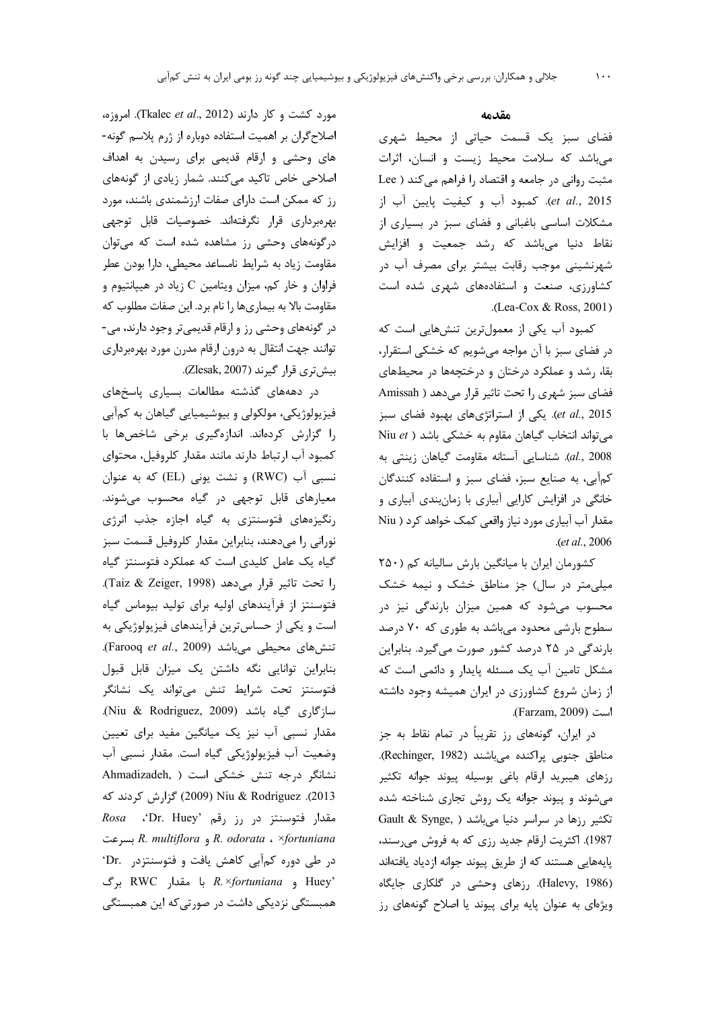مورد کشت و کار دارند (Tkalec et al., 2012). امروزه، اصلاح گران بر اهمیت استفاده دوباره از ژرم پلاسم گونه-های وحشی و ارقام قدیمی برای رسیدن به اهداف اصلاحی خاص تاکید میکنند. شمار زیادی از گونههای رز که ممکن است دارای صفات ارزشمندی باشند، مورد بهرهبرداری قرار نگرفتهاند. خصوصیات قابل توجهی درگونههای وحشی رز مشاهده شده است که می توان مقاومت زیاد به شرایط نامساعد محیطی، دارا بودن عطر فراوان و خار کم، میزان ویتامین C زیاد در هیپانتیوم و مقاومت بالا به بیماریها را نام برد. این صفات مطلوب که در گونههای وحشی رز و ارقام قدیمیتر وجود دارند، می-توانند جهت انتقال به درون ارقام مدرن مورد بهرمبرداري بیش تری قرار گیرند (Zlesak, 2007).

در دهههای گذشته مطالعات بسیاری پاسخهای فيزيولوژيکي، مولکولي و بيوشيميايي گياهان به کمآبي را گزارش كردهاند. اندازهگيري برخي شاخصها با كمبود آب ارتباط دارند مانند مقدار كلروفيل، محتواي نسبی آب (RWC) و نشت یونی (EL) که به عنوان معیارهای قابل توجهی در گیاه محسوب میشوند. رنگیزههای فتوسنتزی به گیاه اجازه جذب انرژی نورانی را میدهند، بنابراین مقدار کلروفیل قسمت سبز گیاه یک عامل کلیدی است که عملکرد فتوسنتز گیاه را تحت تاثير قرار مى دهد (Taiz & Zeiger, 1998). فتوسنتز از فرآیندهای اولیه برای تولید بیوماس گیاه است و یکی از حساس ترین فرآیندهای فیزیولوژیکی به تنشهای محیطی میباشد (Farooq et al., 2009). بنابراین توانایی نگه داشتن یک میزان قابل قبول فتوسنتز تحت شرايط تنش مىتواند يک نشانگر سازگاری گیاه باشد (Niu & Rodriguez, 2009). مقدار نسبی آب نیز یک میانگین مفید برای تعیین وضعیت آب فیزیولوژیکی گیاه است. مقدار نسبی آب نشانگر درجه تنش خشکی است ( Ahmadizadeh, 2013). Niu & Rodriguez \$ 17) كَزارش كردند كه Rosa . Dr. Huey' رز رقم (Dr. Huey' R. odorata ، ×fortuniana و R. multiflora بسرعت در طی دوره کمآبی کاهش یافت و فتوسنتزدر .Dr 'Huey و R.xfortuniana برگ RWC برگ همبستگی نزدیکی داشت در صورتی که این همبستگی

### مقدمه

فضای سبز یک قسمت حیاتی از محیط شهری می باشد که سلامت محیط زیست و انسان، اثرات مثبت روانی در جامعه و اقتصاد را فراهم می کند ( Lee et al., 2015). كمبود آب و كيفيت پايين آب از مشکلات اساسی باغبانی و فضای سبز در بسیاری از نقاط دنیا مے باشد که رشد جمعیت و افزایش شهرنشینی موجب رقابت بیشتر برای مصرف آب در کشاورزی، صنعت و استفادههای شهری شده است .(Lea-Cox & Ross, 2001)

كمبود آب يكي از معمولترين تنشهايي است كه در فضای سبز با آن مواجه میشویم که خشکی استقرار، بقا، رشد و عملکرد درختان و درختچهها در محیطهای فضای سبز شهری را تحت تاثیر قرار می دهد ( Amissah et al., 2015). یکی از استراتژیهای بهبود فضای سبز Niu et ) میتواند انتخاب گیاهان مقاوم به خشکی باشد al., 2008). شناسايي آستانه مقاومت گياهان زينتي به کمآبی، به صنایع سبز، فضای سبز و استفاده کنندگان خانگی در افزایش کارایی آبیاری با زمانبندی آبیاری و مقدار آب آبیاری مورد نیاز واقعی کمک خواهد کرد ( Niu .(et al., 2006).

کشورمان ایران با میانگین بارش سالیانه کم (۲۵۰ میلی متر در سال) جز مناطق خشک و نیمه خشک محسوب میشود که همین میزان بارندگی نیز در سطوح بارشی محدود می باشد به طوری که ۷۰ درصد بارندگی در ۲۵ درصد کشور صورت می گیرد. بنابراین مشکل تامین آب یک مسئله پایدار و دائمی است که از زمان شروع کشاورزی در ایران همیشه وجود داشته است (Farzam, 2009).

در ایران، گونههای رز تقریباً در تمام نقاط به جز مناطق جنوبی پراکنده میباشند (Rechinger, 1982). رزهای هیبرید ارقام باغی بوسیله پیوند جوانه تکثیر می شوند و پیوند جوانه یک روش تجاری شناخته شده تكثير رزها در سراسر دنيا مي باشد ( Gault & Synge, 1987). اکثریت ارقام جدید رزی که به فروش میرسند، پایههایی هستند که از طریق پیوند جوانه ازدیاد یافتهاند (Halevy, 1986). رزهای وحشی در گلکاری جایگاه ویژهای به عنوان پایه برای پیوند یا اصلاح گونههای رز

 $\mathcal{N}$ .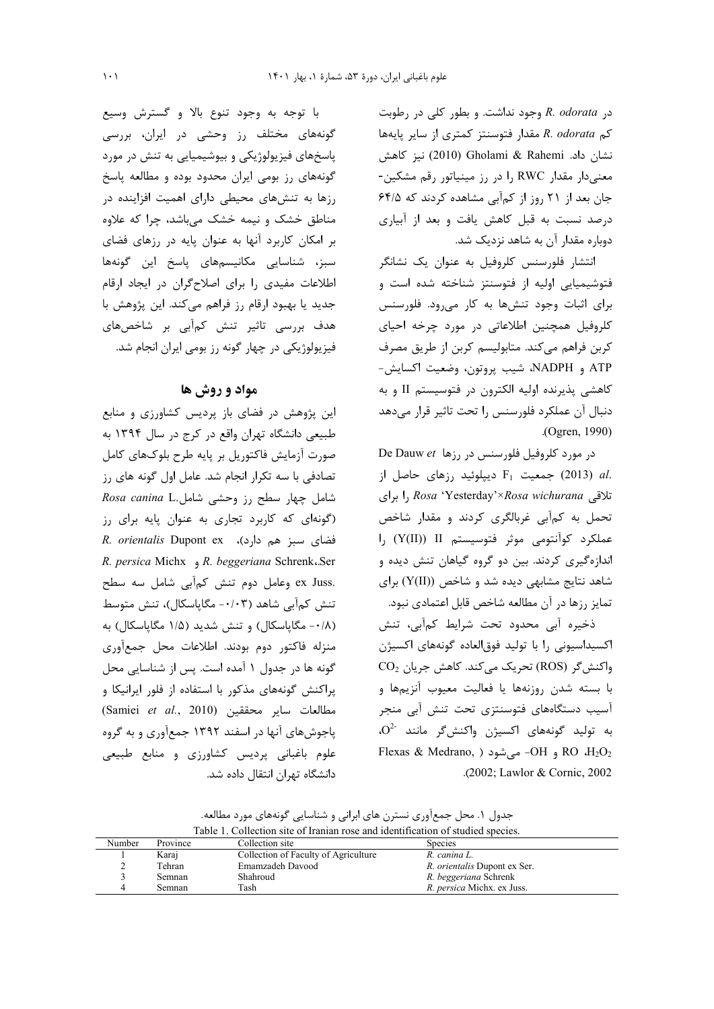$R.$  odorata وجود نداشت. وبطور كلي در رطوبت كم R. odorata مقدار فتوسنتز كمترى از ساير پايهها نشان داد. Gholami & Rahemi نيز كاهش معنی دار مقدار RWC را در رز مینیاتور رقم مشکین-جان بعد از ۲۱ روز از کمآبی مشاهده کردند که ۶۴/۵ درصد نسبت به قبل کاهش یافت و بعد از آبیاری دوباره مقدار آن به شاهد نزدیک شد.

انتشار فلورسنس کلروفیل به عنوان یک نشانگر فتوشیمیایی اولیه از فتوسنتز شناخته شده است و برای اثبات وجود تنشها به کار می ود. فلورسنس کلروفیل همچنین اطلاعاتی در مورد چرخه احیای كربن فراهم مي كند. متابوليسم كربن از طريق مصرف ATP و NADPH، شيب پروتون، وضعيت اكسايش-كاهشي پذيرنده اوليه الكترون در فتوسيستم II و به دنبال آن عملكرد فلورسنس را تحت تاثير قرار مىدهد (Ogren, 1990).

De Dauw et (روفيل فلورسنس در رزها De Dauw et جمعیت  $F_1$  دیپلوئید رزهای حاصل از F $_1$  جمعیت  $_2$  E تلاقی Rosa 'Yesterday'×Rosa wichurana را برای تحمل به کمآبی غربالگری کردند و مقدار شاخص عملکرد کوآنتومی موثر فتوسیستم II (Y(II)) را اندازهگیری کردند. بین دو گروه گیاهان تنش دیده و شاهد نتایج مشابهی دیده شد و شاخص (Y(II)) برای تمایز رزها در آن مطالعه شاخص قابل اعتمادی نبود.

ذخیره آبی محدود تحت شرایط کمآبی، تنش اکسیداسیونی را با تولید فوقالعاده گونههای اکسیژن  $CO<sub>2</sub>$  واکنش گر (ROS) تحریک می کند. کاهش جریان با بسته شدن روزنهها يا فعاليت معيوب آنزيمها و آسیب دستگاههای فتوسنتزی تحت تنش آبی منجر به تولید گونههای اکسیژن واکنشگر مانند <sup>-02</sup>. Flexas & Medrano, ) و OH- مىشود Flexas & Medrano, ) .(2002; Lawlor & Cornic, 2002

با توجه به وجود تنوع بالا و گسترش وسیع گونههای مختلف رز وحشی در ایران، بررسی پاسخهای فیزیولوژیکی و بیوشیمیایی به تنش در مورد گونههای رز بومی ایران محدود بوده و مطالعه پاسخ رزها به تنشهای محیطی دارای اهمیت افزاینده در مناطق خشک و نیمه خشک میباشد، چرا که علاوه بر امکان کاربرد آنها به عنوان پایه در رزهای فضای سبز، شناسایی مکانیسمهای پاسخ این گونهها اطلاعات مفیدی را برای اصلاحگران در ایجاد ارقام جدید یا بهبود ارقام رز فراهم میکند. این پژوهش با هدف بررسی تاثیر تنش کمآبی بر شاخصهای فیزیولوژیکی در چهار گونه رز بومی ایران انجام شد.

## مواد و روش ها

این پژوهش در فضای باز پردیس کشاورزی و منابع طبیعی دانشگاه تهران واقع در کرج در سال ۱۳۹۴ به صورت آزمایش فاکتوریل بر پایه طرح بلوکهای کامل تصادفی با سه تکرار انجام شد. عامل اول گونه های رز شامل چهار سطح رز وحشی شامل.Rosa canina L (گونهای که کاربرد تجاری به عنوان پایه برای رز R. orientalis Dupont ex (د)، R. orientalis Dupont ex R. persica Michx , R. beggeriana Schrenk.Ser .ex Juss وعامل دوم تنش كمآبي شامل سه سطح تنش کمآبی شاهد (۰/۰۳- مگاپاسکال)، تنش متوسط (۰/۸- مگاپاسکال) و تنش شدید (۱/۵ مگاپاسکال) به منزله فاكتور دوم بودند. اطلاعات محل جمعأورى گونه ها در جدول ۱ آمده است. پس از شناسایی محل یراکنش گونههای مذکور با استفاده از فلور ایرانیکا و (Samiei et al., 2010) مطالعات ساير محققين پاجوشهای آنها در اسفند ۱۳۹۲ جمعآوری و به گروه علوم باغبانی پردیس کشاورزی و منابع طبیعی دانشگاه تهران انتقال داده شد.

جدول ۱. محل جمعآوری نسترن های ابرانی و شناسایی گونههای مورد مطالعه.

| Table 1. Conection site of framidal rose and identification of studied species. |               |                                      |                                     |  |  |
|---------------------------------------------------------------------------------|---------------|--------------------------------------|-------------------------------------|--|--|
| Number                                                                          | Province      | Collection site                      | <b>Species</b>                      |  |  |
|                                                                                 | Karaj         | Collection of Faculty of Agriculture | R. canina L.                        |  |  |
|                                                                                 | Tehran        | Emamzadeh Davood                     | <i>R. orientalis</i> Dupont ex Ser. |  |  |
|                                                                                 | <b>Semnan</b> | Shahroud                             | R. beggeriana Schrenk               |  |  |
|                                                                                 | <b>Semnan</b> | Tash                                 | R. persica Michx. ex Juss.          |  |  |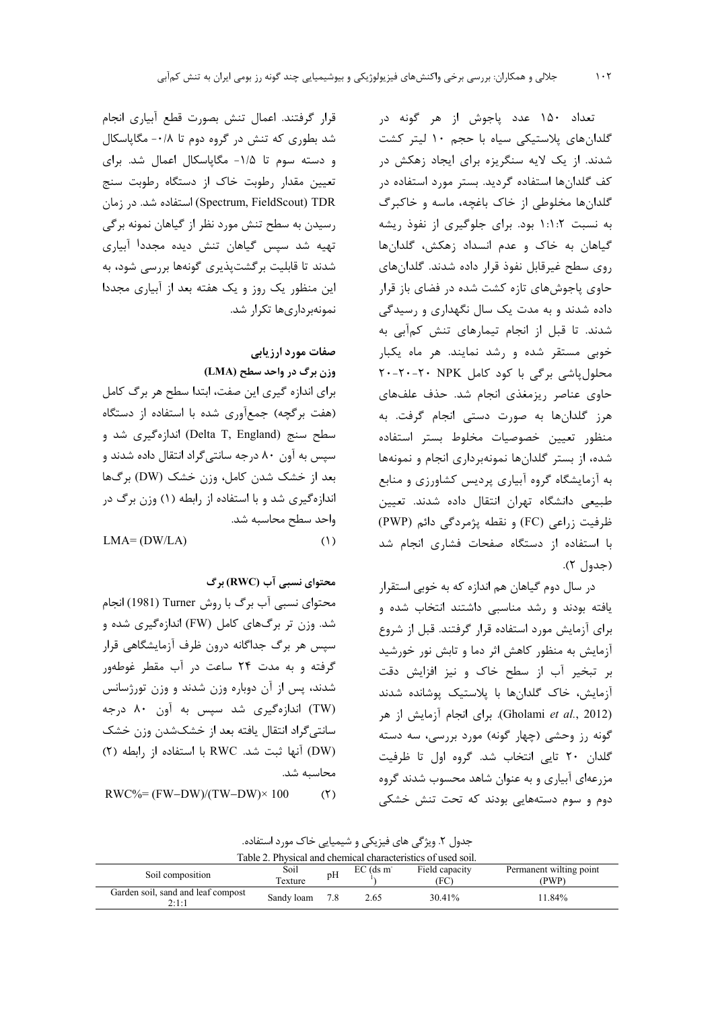تعداد ۱۵۰ عدد پاجوش از هر گونه در گلدانهای پلاستیکی سیاه با حجم ۱۰ لیتر کشت شدند. از یک لایه سنگریزه برای ایجاد زهکش در کف گلدانها استفاده گردید. بستر مورد استفاده در گلدانها مخلوطی از خاک باغچه، ماسه و خاکبرگ به نسبت ۱:۱:۲ بود. برای جلوگیری از نفوذ ریشه گیاهان به خاک و عدم انسداد زهکش، گلدانها روی سطح غیرقابل نفوذ قرار داده شدند. گلدانهای حاوی پاجوشهای تازه کشت شده در فضای باز قرار داده شدند و به مدت یک سال نگهداری و رسیدگی شدند. تا قبل از انجام تیمارهای تنش کمآبی به خوبی مستقر شده و رشد نمایند. هر ماه یکبار محلول پاشی برگی با کود کامل ۲۰-۲۰-۲۰-۲۰ حاوی عناصر ریزمغذی انجام شد. حذف علفهای هرز گلدانها به صورت دستی انجام گرفت. به منظور تعيين خصوصيات مخلوط بستر استفاده شده، از بستر گلدانها نمونهبرداری انجام و نمونهها به آزمایشگاه گروه آبیاری پردیس کشاورزی و منابع طبیعی دانشگاه تهران انتقال داده شدند. تعیین ظرفيت زراعي (FC) و نقطه پژمردگي دائم (PWP) با استفاده از دستگاه صفحات فشاری انجام شد (جدول ۲).

در سال دوم گیاهان هم اندازه که به خوبی استقرار یافته بودند و رشد مناسبی داشتند انتخاب شده و برای آزمایش مورد استفاده قرار گرفتند. قبل از شروع آزمایش به منظور کاهش اثر دما و تابش نور خورشید بر تبخیر آب از سطح خاک و نیز افزایش دقت آزمایش، خاک گلدانها با پلاستیک پوشانده شدند (Gholami et al., 2012). برای انجام آزمایش از هر گونه رز وحشی (چهار گونه) مورد بررسی، سه دسته گلدان ٢٠ تايي انتخاب شد. گروه اول تا ظرفيت مزرعهای آبیاری و به عنوان شاهد محسوب شدند گروه دوم و سوم دستههایی بودند که تحت تنش خشکی

قرار گرفتند. اعمال تنش بصورت قطع آبیاری انجام شد بطوری که تنش در گروه دوم تا ۰/۸- مگاپاسکال و دسته سوم تا ۱/۵- مگاپاسکال اعمال شد. برای تعیین مقدار رطوبت خاک از دستگاه رطوبت سنج Spectrum, FieldScout) TDR) استفاده شد. در زمان رسیدن به سطح تنش مورد نظر از گیاهان نمونه برگی تهیه شد سیس گیاهان تنش دیده مجددا آبیاری شدند تا قابلیت برگشتپذیری گونهها بررسی شود، به این منظور یک روز و یک هفته بعد از آبیاری مجددا نمونهر داری ها تکرار شد.

> صفات مورد ارزیابی وزن برگ در واحد سطح (LMA)

برای اندازه گیری این صفت، ابتدا سطح هر برگ کامل (هفت بركچه) جمعآوري شده با استفاده از دستگاه سطح سنج (Delta T, England) اندازهگیری شد و سپس به آون ۸۰ درجه سانتیگراد انتقال داده شدند و بعد از خشک شدن کامل، وزن خشک (DW) برگها اندازهگیری شد و با استفاده از رابطه (۱) وزن برگ در واحد سطح محاسبه شد.  $L$  $(1)$ 

$$
MA = (DW/LA)
$$

محتوای نسبی آب (RWC) برگ

محتواي نسبي آب برگ با روش Turner (1981) انجام شد. وزن تر برگهای کامل (FW) اندازهگیری شده و سپس هر برگ جداگانه درون ظرف آزمایشگاهی قرار گرفته و به مدت ۲۴ ساعت در آب مقطر غوطهور شدند، پس از آن دوباره وزن شدند و وزن تورژسانس (TW) اندازهگیری شد سپس به آون ۸۰ درجه سانتیگراد انتقال یافته بعد از خشکشدن وزن خشک (DW) آنها ثبت شد. RWC با استفاده از رابطه (٢) محاسىه شد.

```
RWC\% = (FW-DW)/(TW-DW) \times 100(5)
```

| جدول ۲. ویژگی های فیزیکی و شیمیایی خاک مورد استفاده. |  |  |  |  |  |
|------------------------------------------------------|--|--|--|--|--|
|------------------------------------------------------|--|--|--|--|--|

| Table 2. Physical and chemical characteristics of used soil. |                 |     |                         |                        |                                 |  |
|--------------------------------------------------------------|-----------------|-----|-------------------------|------------------------|---------------------------------|--|
| Soil composition                                             | Soil<br>Texture | pH  | $EC$ (ds m <sup>-</sup> | Field capacity<br>(FC) | Permanent wilting point<br>(PWP |  |
| Garden soil, sand and leaf compost<br>2:1:1                  | Sandy loam      | 7.8 | 2.65                    | 30.41%                 | 11.84%                          |  |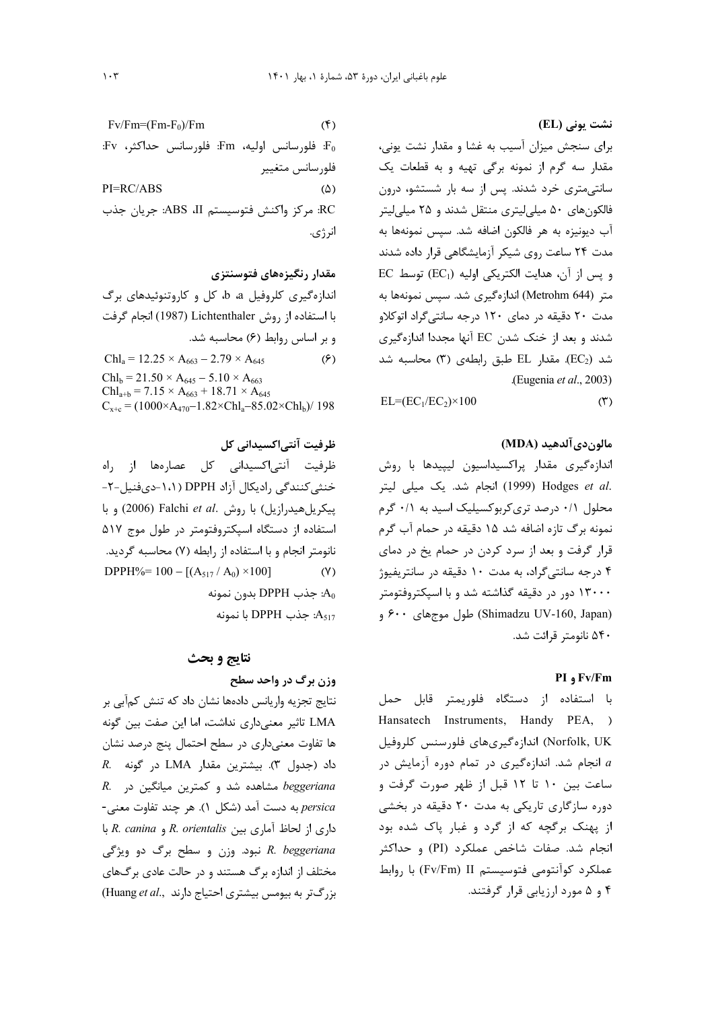$Fv/Fm=(Fm-F<sub>0</sub>)/Fm$  $(5)$  $Fv$  فلورسانس اوليه، Fm. فلورسانس حداكثر،  $Fv$ : فلورسانس متغيير  $PI=RC/ABS$  $(\Delta)$ RC: مركز واكنش فتوسيستم ABS ،II: جريان جذب انرژی.

مقدار رنگیزههای فتوسنتزی اندازهگیری کلروفیل a، b، کل و کاروتنوئیدهای برگ با استفاده از روش Lichtenthaler (1987) انجام گرفت وبر اساس روابط (۶) محاسبه شد.  $\text{Chl}_a = 12.25 \times A_{663} - 2.79 \times A_{645}$  $(5)$  $Chl_b = 21.50 \times A_{645} - 5.10 \times A_{663}$  $Chl_{a+b} = 7.15 \times A_{663} + 18.71 \times A_{645}$  $C_{x+c} = (1000 \times A_{470} - 1.82 \times Chl_a - 85.02 \times Chl_b)/198$ 

ظرفیت آنتی|کسیدانی کل ظرفیت آنتے اکسیدانی کل عصارہھا از راہ خنثی کنندگی رادیکال آزاد DPPH (۱،۱-دیفنیل-۲-بیکریل هیدرازیل) با روش .Falchi et al (2006) و با استفاده از دستگاه اسپکتروفتومتر در طول موج ۵۱۷ نانومتر انجام و با استفاده از رابطه (۷) محاسبه گردید. DPPH%=  $100 - [(A<sub>517</sub> / A<sub>0</sub>) \times 100]$  $(Y)$ بدون نمونه: DPPH جذب  $A_0$ با نمونه DPPH با نمونه  $A_{517}$ 

### نتايج و بحث

## وزن برگ در واحد سطح

نتايج تجزيه واريانس دادهها نشان داد كه تنش كمآبى بر LMA تاثیر معنی داری نداشت، اما این صفت بین گونه ها تفاوت معنی داری در سطح احتمال پنج درصد نشان داد (جدول ٣). بيشترين مقدار LMA در گونه R. R. مشاهده شد و کمترین میانگین در R. persica به دست آمد (شكل ١). هر چند تفاوت معنى-داری از لحاظ آماری بین R. orientalis و R. canina با R. beggeriana نبود. وزن و سطح برگ دو ویژگی مختلف از اندازه برگ هستند و در حالت عادی برگهای بزرگتر به بیومس بیشتری احتیاج دارند ..Huang et al نشت یونی (EL)

برای سنجش میزان آسیب به غشا و مقدار نشت یونی، مقدار سه گرم از نمونه برگی تهیه و به قطعات یک سانتی متری خرد شدند. پس از سه بار شستشو، درون فالکونهای ۵۰ میلی لیتری منتقل شدند و ۲۵ میلی لیتر آب دیونیزه به هر فالکون اضافه شد. سپس نمونهها به مدت ٢۴ ساعت روی شیکر آزمایشگاهی قرار داده شدند EC و پس از آن، هدایت الکتریکی اولیه (EC1) توسط متر (Metrohm 644) اندازهگیری شد. سپس نمونهها به مدت ۲۰ دقیقه در دمای ۱۲۰ درجه سانتیگراد اتوکلاو شدند و بعد از خنک شدن EC آنها مجددا اندازهگیری شد (EC2). مقدار EL طبق رابطهی (۳) محاسبه شد (Eugenia et al., 2003).

 $EL=(EC_1/EC_2)\times 100$  $(1)$ 

### مالون دي آلدهيد (MDA)

اندازهگیری مقدار پراکسیداسیون لیپیدها با روش .Hodges et al (1999) انجام شد. یک میلی لیتر محلول ۰/۱ درصد تری کربوکسیلیک اسید به ۰/۱ گرم نمونه برگ تازه اضافه شد ۱۵ دقیقه در حمام آب گرم قرار گرفت و بعد از سرد کردن در حمام یخ در دمای ۴ درجه سانتی گراد، به مدت ۱۰ دقیقه در سانتریفیوژ ۱۳۰۰۰ دور در دقیقه گذاشته شد و با اسپکتروفتومتر (Shimadzu UV-160, Japan) طول موجهای ۶۰۰ و ۵۴۰ نانومتر قرائت شد.

### PI , Fv/Fm

با استفاده از دستگاه فلوريمتر قابل حمل Hansatech Instruments, Handy PEA, ) Norfolk, UK) اندازهگیریهای فلورسنس کلروفیل انجام شد. اندازهگیری در تمام دوره آزمایش در  $a$ ساعت بین ۱۰ تا ۱۲ قبل از ظهر صورت گرفت و دوره سازگاری تاریکی به مدت ۲۰ دقیقه در بخشی از پهنک برگچه که از گرد و غبار پاک شده بود انجام شد. صفات شاخص عملکرد (PI) و حداکثر عملکرد کوآنتومی فتوسیستم Fv/Fm) II) با روابط ۴ و ۵ مورد ارزیابی قرار گرفتند.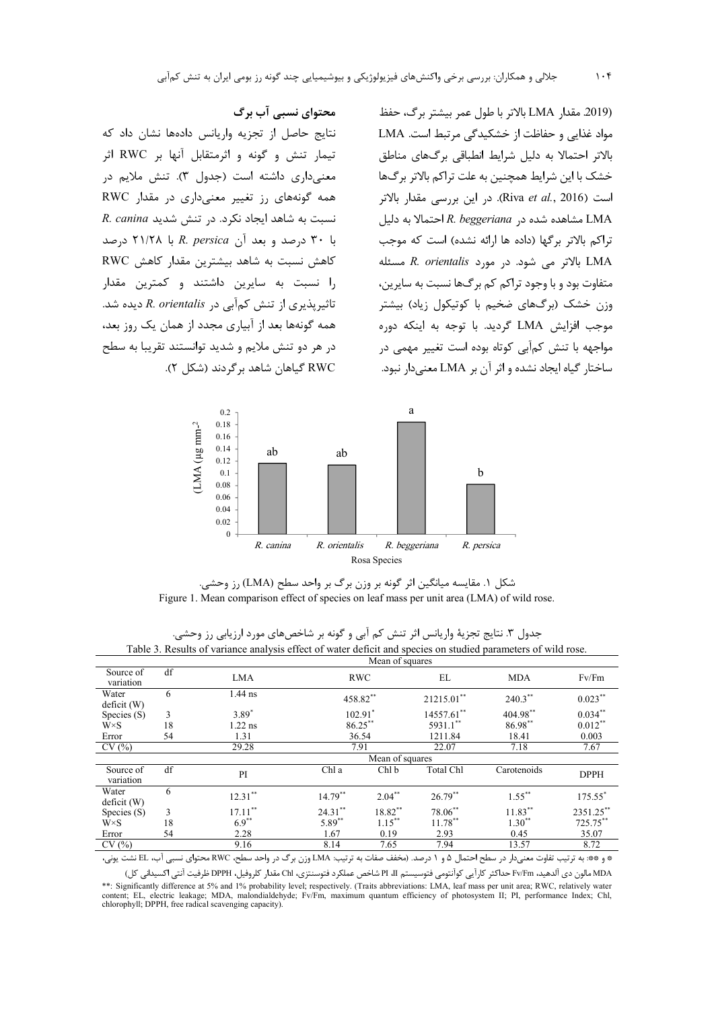محتوای نسبی آب برگ

نتايج حاصل از تجزيه واريانس دادهها نشان داد كه تیمار تنش و گونه و اثرمتقابل آنها بر RWC اثر

معنى دارى داشته است (جدول ٣). تنش ملايم در

همه گونههای رز تغییر معنیداری در مقدار RWC

R. canina ایجاد نکرد. در تنش شدید R. canina

با ۳۰ درصد و بعد آن R. persica با ۲۱/۲۸ درصد

كاهش نسبت به شاهد بيشترين مقدار كاهش RWC

را نسبت به سایرین داشتند و کمترین مقدار

تاثیریذیری از تنش کمآبی در R. orientalis دیده شد.

همه گونهها بعد از آبیاری مجدد از همان یک روز بعد،

(2019. مقدار LMA بالاتر با طول عمر بيشتر برگ، حفظ مواد غذایی و حفاظت از خشکیدگی مرتبط است. LMA بالاتر احتمالا به دلیل شرایط انطباقی برگهای مناطق خشک با این شرایط همچنین به علت تراکم بالاتر برگها است (Riva *et al*., 2016). در این بررسی مقدار بالاتر LMA مشاهده شده در R. beggeriana احتمالا به دلیل تراكم بالاتر برگها (داده ها ارائه نشده) است كه موجب LMA بالاتر می شود. در مورد R. orientalis مسئله متفاوت بود و با وجود تراکم کم برگها نسبت به سایرین، وزن خشک (برگهای ضخیم با کوتیکول زیاد) بیشتر موجب افزايش LMA گرديد. با توجه به اينكه دوره مواجهه با تنش کمآبی کوتاه بوده است تغییر مهمی در ساختار گیاه ایجاد نشده و اثر آن بر LMA معنی دار نبود.





|                        | Mean of squares               |                                                                                                                                                                                                                                |                                       |           |                                         |             |             |
|------------------------|-------------------------------|--------------------------------------------------------------------------------------------------------------------------------------------------------------------------------------------------------------------------------|---------------------------------------|-----------|-----------------------------------------|-------------|-------------|
| Source of<br>variation | df                            | <b>LMA</b>                                                                                                                                                                                                                     | <b>RWC</b>                            |           | EL                                      | <b>MDA</b>  | Fv/Fm       |
| Water<br>deficit (W)   | 6                             | $1.44$ ns                                                                                                                                                                                                                      | 458.82**                              |           | 21215.01**                              | $240.3***$  | $0.023***$  |
| Species (S)            | 3                             | $3.89*$                                                                                                                                                                                                                        | $102.91$ <sup>*</sup>                 |           | 14557.61**                              | 404.98**    | $0.034***$  |
| $W \times S$           | 18                            | $1.22$ ns                                                                                                                                                                                                                      | $86.25***$                            |           | 5931.1**                                | 86.98**     | $0.012***$  |
| Error                  | 54                            | 1.31                                                                                                                                                                                                                           | 36.54                                 |           | 1211.84                                 | 18.41       | 0.003       |
| CV(%)                  |                               | 29.28                                                                                                                                                                                                                          | 7.91                                  |           | 22.07                                   | 7.18        | 7.67        |
|                        |                               |                                                                                                                                                                                                                                | Mean of squares                       |           |                                         |             |             |
| Source of<br>variation | df                            | PI                                                                                                                                                                                                                             | Chl a                                 | Chl b     | Total Chl                               | Carotenoids | <b>DPPH</b> |
| Water<br>deficit (W)   | 6                             | $12.31***$                                                                                                                                                                                                                     | $14.79***$                            | $2.04***$ | $26.79***$                              | $1.55***$   | 175.55*     |
| Species (S)            | 3                             | $17.11***$                                                                                                                                                                                                                     | $24.31***$                            | 18.82**   | 78.06**                                 | $11.83***$  | 2351.25**   |
| $W \times S$           | 18                            | $6.9***$                                                                                                                                                                                                                       | 5.89**                                | $1.15***$ | $11.78***$                              | $1.30**$    | 725.75**    |
| Error                  | 54                            | 2.28                                                                                                                                                                                                                           | 1.67                                  | 0.19      | 2.93                                    | 0.45        | 35.07       |
| CV(%)                  |                               | 9.16                                                                                                                                                                                                                           | 8.14                                  | 7.65      | 7.94                                    | 13.57       | 8.72        |
| $\sim$                 | $\tilde{a}$ , and $\tilde{a}$ | the second control of the second control of the second control of the second control of the second control of the second control of the second control of the second control of the second control of the second control of th | $\sim$<br>$\sim$ $\sim$ $\sim$ $\sim$ | .         | $\sim$ $\sim$ $\sim$ $\sim$<br>$\cdots$ | $\sim$      |             |

جدول ٣. نتايج تجزيهٔ واريانس اثر تنش كم آبي و گونه بر شاخصهاي مورد ارزيابي رز وحشي. Table 3. Results of variance analysis effect of water deficit and species on studied parameters of wild rose

\* و \*\*: به ترتيب تفاوت معنىدار در سطح احتمال ۵ و ۱ درصد. (مخفف صفات به ترتيب: LMA وزن برگ در واحد سطح، RWC محتواى نسبى آب، EL نشت يونى،

MDA مالون دي آلدهيد، Fv/Fm حداكثر كارآيي كوآنتومي فتوسيستم PI II شاخص عملكرد فتوسنتزي، Chl مقدار كلروفيل، DPPH ظرفيت آنتي اكسيداني كل) \*\*: Significantly difference at 5% and 1% probability level; respectively. (Traits abbreviations: LMA, leaf mass per unit area; RWC, relatively water content; EL, electric leakage; MDA, malondialdehyde; Fv/Fm, maximum quantum efficiency of photosystem II; PI, performance Index; Chl, chartycry water<br>chlorophyll; DPPH, free radical scavenging capacity).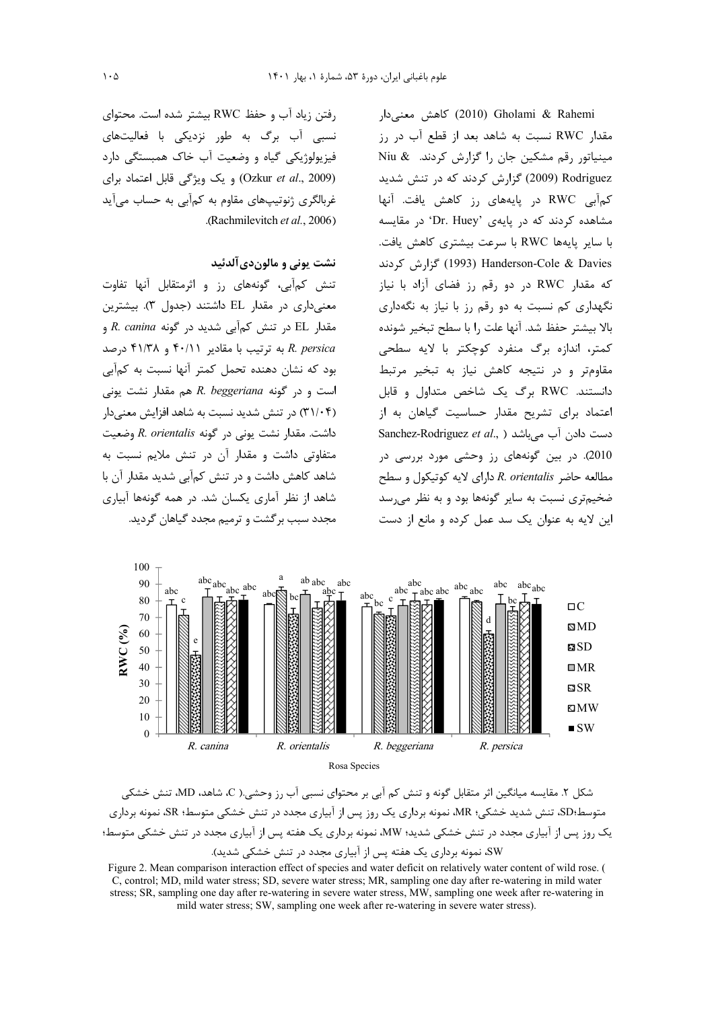لكاهش معنى دار (2010) Cholami & Rahemi مقدار RWC نسبت به شاهد بعد از قطع آب در رز مینیاتور رقم مشکین جان را گزارش کردند. Niu & Rodriguez (2009) گزارش کردند که در تنش شدید کمآبی RWC در پایههای رز کاهش یافت. آنها مشاهده کردند که در پایهی 'Dr. Huey' در مقایسه با سایر پایهها RWC با سرعت بیشتری کاهش یافت. Cole & Davies (1993) Handerson-Cole & Davies که مقدار RWC در دو رقم رز فضای آزاد با نیاز نگهداری کم نسبت به دو رقم رز با نیاز به نگهداری بالا بيشتر حفظ شد. آنها علت را با سطح تبخير شونده كمتر، اندازه برگ منفرد كوچكتر با لايه سطحى مقاومتر و در نتيجه كاهش نياز به تبخير مرتبط دانستند. RWC برگ یک شاخص متداول و قابل اعتماد برای تشریح مقدار حساسیت گیاهان به از Sanchez-Rodriguez et al., ) دست دادن آب میباشد 2010). در بين گونههاى رز وحشى مورد بررسى در مطالعه حاضر R. orientalis دارای لایه کوتیکول و سطح ضخیمتری نسبت به سایر گونهها بود و به نظر می سد این لایه به عنوان یک سد عمل کرده و مانع از دست

رفتن زياد آب و حفظ RWC بيشتر شده است. محتواى نسبی آب برگ به طور نزدیکی با فعالیتهای فیزیولوژیکی گیاه و وضعیت آب خاک همبستگی دارد (Ozkur et al., 2009) و یک ویژگی قابل اعتماد برای غربالگری ژنوتیپهای مقاوم به کمآبی به حساب میآید .(Rachmilevitch et al., 2006)

نشت یونی و مالون دی آلدئید

تنش کمآبی، گونههای رز و اثرمتقابل آنها تفاوت معنیداری در مقدار EL داشتند (جدول ۳). بیشترین مقدار EL در تنش کمآبی شدید در گونه R. canina و درصد R. persica بود که نشان دهنده تحمل کمتر آنها نسبت به کمآبی  $R.$  beggeriana هم مقدار نشت یونی (۳۱/۰۴) در تنش شدید نسبت به شاهد افزایش معنی دار داشت. مقدار نشت یونی در گونه R. orientalis وضعیت متفاوتی داشت و مقدار آن در تنش ملایم نسبت به شاهد کاهش داشت و در تنش کمآبی شدید مقدار آن با شاهد از نظر آماری یکسان شد. در همه گونهها آبیاری مجدد سبب برگشت و ترمیم مجدد گیاهان گردید.





Figure 2. Mean comparison interaction effect of species and water deficit on relatively water content of wild rose. ( C, control; MD, mild water stress; SD, severe water stress; MR, sampling one day after re-watering in mild water stress; SR, sampling one day after re-watering in severe water stress, MW, sampling one week after re-watering in mild water stress; SW, sampling one week after re-watering in severe water stress).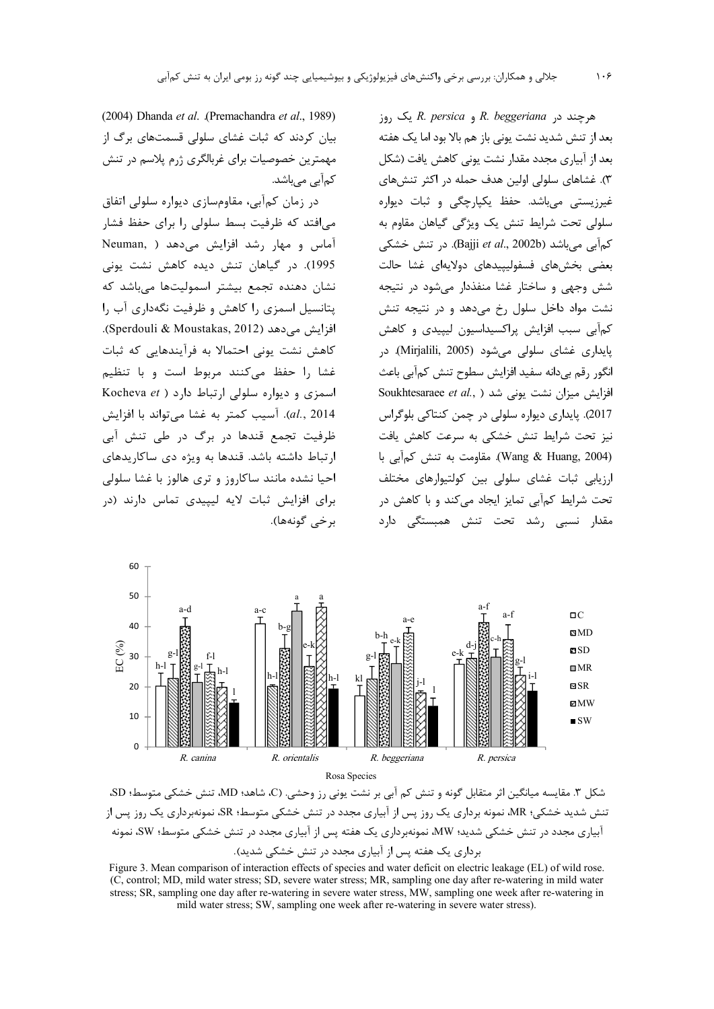(2004) Dhanda et al. (Premachandra et al., 1989) بیان کردند که ثبات غشای سلولی قسمتهای برگ از مهمترین خصوصیات برای غربالگری ژرم پلاسم در تنش کمآبے مے باشد.

در زمان کمآبی، مقاومسازی دیواره سلولی اتفاق میافتد که ظرفیت بسط سلولی را برای حفظ فشار آماس و مهار رشد افزایش می دهد ( Neuman, 1995). در گیاهان تنش دیده کاهش نشت یونی نشان دهنده تجمع بيشتر اسموليتها مىباشد كه پتانسیل اسمزی را کاهش و ظرفیت نگهداری آب را افزايش مى دهد (Sperdouli & Moustakas, 2012). كاهش نشت يوني احتمالا به فرآيندهايي كه ثبات غشا ,ا حفظ می کنند مربوط است و با تنظیم اسمزی و دیواره سلولی ارتباط دارد ( Kocheva et al., 2014). آسیب کمتر به غشا می تواند با افزایش ظرفیت تجمع قندها در برگ در طی تنش آبی ارتباط داشته باشد. قندها به ویژه دی ساکاریدهای احيا نشده مانند ساكاروز و ترى هالوز با غشا سلولى برای افزایش ثبات لایه لیپیدی تماس دارند (در برخي گونهها).

مرچند در R. beggeriana و R. persica یک روز بعد از تنش شدید نشت یونی باز هم بالا بود اما یک هفته بعد از آبیاری مجدد مقدار نشت یونی کاهش یافت (شکل ۳). غشاهای سلولی اولین هدف حمله در اکثر تنش های غیرزیستی میباشد. حفظ یکپارچگی و ثبات دیواره سلولی تحت شرایط تنش یک ویژگی گیاهان مقاوم به كمآبي مي باشد (Bajji et al., 2002b). در تنش خشكي بعضی بخش،های فسفولیپیدهای دولایهای غشا حالت شش وجهی و ساختار غشا منفذدار میشود در نتیجه نشت مواد داخل سلول رخ می دهد و در نتیجه تنش کمآبی سبب افزایش پراکسیداسیون لیپیدی و کاهش پایداری غشای سلولی میشود (Mirjalili, 2005). در انگور رقم بیدانه سفید افزایش سطوح تنش کمآبی باعث Soukhtesaraee et al., ) افزایش میزان نشت یونی شد 2017). پايدارى ديواره سلولى در چمن كنتاكى بلوگراس نیز تحت شرایط تنش خشکی به سرعت کاهش یافت (Wang & Huang, 2004). مقاومت به تنش كمآبي با ارزیابی ثبات غشای سلولی بین کولتیوارهای مختلف تحت شرایط کمآبی تمایز ایجاد میکند و با کاهش در مقدار نسبی رشد تحت تنش همبستگی دارد





شكل ٣. مقايسه ميانگين اثر متقابل گونه و تنش كم آبي بر نشت يوني رز وحشي. (C، شاهد؛ MD، تنش خشكي متوسط؛ SD، تنش شدید خشکی؛ MR، نمونه برداری یک روز پس از آبیاری مجدد در تنش خشکی متوسط؛ SR، نمونهبرداری یک روز پس از آبیاری مجدد در تنش خشکی شدید؛ MW، نمونهبرداری یک هفته پس از آبیاری مجدد در تنش خشکی متوسط؛ SW، نمونه برداری یک هفته پس از آبیاری مجدد در تنش خشکی شدید).

Figure 3. Mean comparison of interaction effects of species and water deficit on electric leakage (EL) of wild rose. (C, control; MD, mild water stress; SD, severe water stress; MR, sampling one day after re-watering in mild water stress; SR, sampling one day after re-watering in severe water stress, MW, sampling one week after re-watering in mild water stress; SW, sampling one week after re-watering in severe water stress).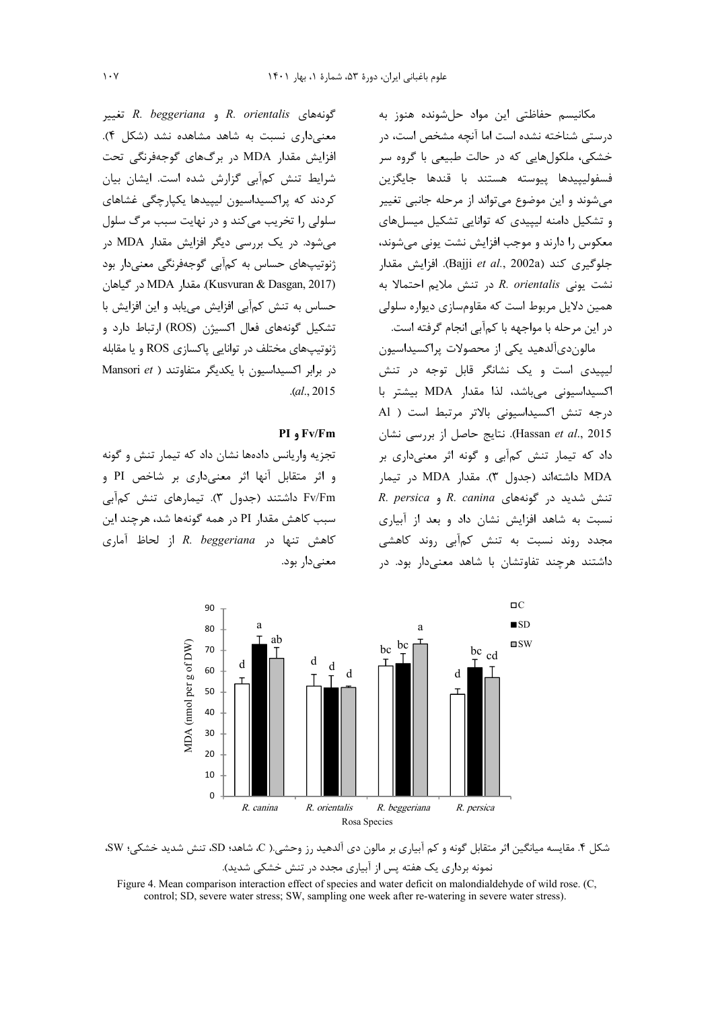مکانیسم حفاظتی این مواد حلشونده هنوز به درستی شناخته نشده است اما آنچه مشخص است، در خشکی، ملکولهایی که در حالت طبیعی با گروه سر .<br>فسفوليبيدها بيوسته هستند با قندها حايگزين میشوند و این موضوع میتواند از مرحله جانبی تغییر و تشکیل دامنه لیپیدی که توانایی تشکیل میسل های معکوس را دارند و موجب افزایش نشت یونی می شوند، جلوگيري كند (Bajji et al., 2002a). افزايش مقدار نشت یونی R. orientalis در تنش ملایم احتمالا به همین دلایل مربوط است که مقاومسازی دیواره سلولی در این مرحله با مواجهه با کمآبی انجام گرفته است.

مالون دیآلدهید یکی از محصولات پراکسیداسیون لیپیدی است و یک نشانگر قابل توجه در تنش اكسيداسيونى مى باشد، لذا مقدار MDA بيشتر با درجه تنش اکسیداسیونی بالاتر مرتبط است ( Al Hassan et al., 2015). نتايج حاصل از بررسي نشان داد که تیمار تنش کمآبی و گونه اثر معنیداری بر MDA داشتهاند (جدول ٣). مقدار MDA در تيمار R. persica و R. canina و R. persica نسبت به شاهد افزایش نشان داد و بعد از آبیاری مجدد روند نسبت به تنش کمآبی روند کاهشی داشتند هرچند تفاوتشان با شاهد معنیدار بود. در

گونههای R. orientalis و R. beggeriana تغییر معنی داری نسبت به شاهد مشاهده نشد (شکل ۴). افزایش مقدار MDA در برگهای گوجهفرنگی تحت شرایط تنش کمآبی گزارش شده است. ایشان بیان کردند که پراکسیداسیون لیپیدها یکپارچگی غشاهای سلولي را تخريب مي كند و در نهايت سبب مرگ سلول می شود. در یک بررسی دیگر افزایش مقدار MDA در ژنوتیپهای حساس به کمآبی گوجهفرنگی معنیدار بود (Kusvuran & Dasgan, 2017). مقدار MDA در گیاهان حساس به تنش كمآبي افزايش مييابد و اين افزايش با تشکیل گونههای فعال اکسیژن (ROS) ارتباط دارد و ژنوتیپهای مختلف در توانایی پاکسازی ROS و یا مقابله در برابر اکسیداسیون با یکدیگر متفاوتند ( Mansori et  $. (al., 2015)$ 

### PI 9 Fv/Fm

تجزیه واریانس دادهها نشان داد که تیمار تنش و گونه و اثر متقابل آنها اثر معنیداری بر شاخص PI و Fv/Fm داشتند (جدول ۳). تیمارهای تنش کمآبی سبب کاهش مقدار PI در همه گونهها شد، هرچند این كاهش تنها در R. beggeriana از لحاظ آماری معنے دار ہود.



شکل ۴. مقایسه میانگین اثر متقابل گونه و کم آبیاری بر مالون دی آلدهید رز وحشی.( C، شاهد؛ SD، تنش شدید خشکی؛ SW، نمونه برداری یک هفته پس از آبیاری مجدد در تنش خشکی شدید).

Figure 4. Mean comparison interaction effect of species and water deficit on malondialdehyde of wild rose. (C, control; SD, severe water stress; SW, sampling one week after re-watering in severe water stress).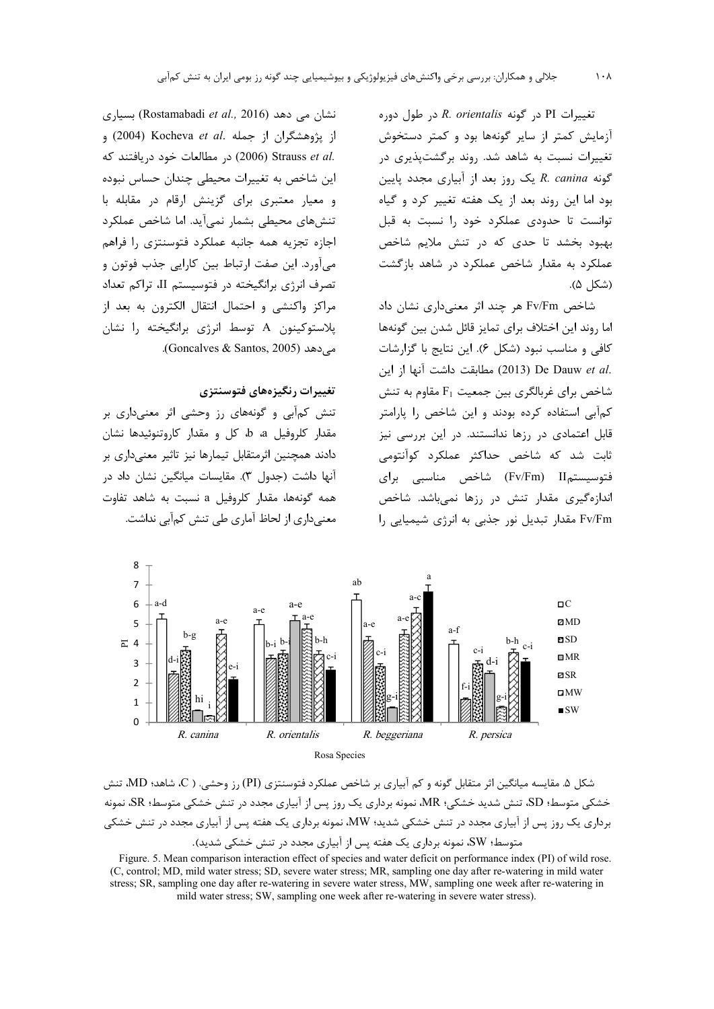تغییرات PI در گونه R. orientalis در طول دوره آزمایش کمتر از سایر گونهها بود و کمتر دستخوش تغییرات نسبت به شاهد شد. روند برگشتیذیری در گونه R. canina یک روز بعد از آبیاری مجدد پایین بود اما این روند بعد از یک هفته تغییر کرد و گیاه توانست تا حدودی عملکرد خود را نسبت به قبل بهبود بخشد تا حدی که در تنش ملایم شاخص عملکرد به مقدار شاخص عملکرد در شاهد بازگشت (شكا (۵).

شاخص Fv/Fm هر چند اثر معنیداری نشان داد اما روند این اختلاف برای تمایز قائل شدن بین گونهها كافي و مناسب نبود (شكل ۶). اين نتايج با گزارشات .De Dauw et al) مطابقت داشت آنها از این شاخص برای غربالگری بین جمعیت  $F_1$  مقاوم به تنش کمآبے استفادہ کردہ بودند و این شاخص را پارامتر قابل اعتمادی در رزها ندانستند. در این بررسی نیز ثابت شد که شاخص حداکثر عملکرد کوآنتومی فتوسیستمH (Fv/Fm) شاخص مناسبی برای اندازهگیری مقدار تنش در رزها نمیباشد. شاخص Fv/Fm مقدار تبدیل نور جذبی به انرژی شیمیایی را

نشان می دهد (Rostamabadi et al., 2016) بسیاری از پژوهشگران از جمله .Kocheva et al (2004) و در مطالعات خود دريافتند كه (2006) Ctrauss et al. این شاخص به تغییرات محیطی چندان حساس نبوده و معیار معتبری برای گزینش ارقام در مقابله با تنشهای محیطی بشمار نمی آید. اما شاخص عملکرد اجازه تجزيه همه جانبه عملكرد فتوسنتزى را فراهم مي آورد. اين صفت ارتباط بين كارايي جذب فوتون و تصرف انرژی برانگیخته در فتوسیستم II، تراکم تعداد مراكز واكنشى و احتمال انتقال الكترون به بعد از یلاستوکینون A توسط انرژی برانگیخته را نشان مے دھد (Goncalves & Santos, 2005).

## تغييرات رنگيزههاي فتوسنتزي

تنش کمآبی و گونههای رز وحشی اثر معنیداری بر مقدار کلروفیل a، b، کل و مقدار کاروتنوئیدها نشان دادند همچنین اثرمتقابل تیمارها نیز تاثیر معنے داری بر آنها داشت (جدول ۳). مقایسات میانگین نشان داد در همه گونهها، مقدار كلروفيل a نسبت به شاهد تفاوت معنے داری از لحاظ آماری طی تنش کمآبی نداشت.





Figure. 5. Mean comparison interaction effect of species and water deficit on performance index (PI) of wild rose. (C, control; MD, mild water stress; SD, severe water stress; MR, sampling one day after re-watering in mild water stress; SR, sampling one day after re-watering in severe water stress, MW, sampling one week after re-watering in mild water stress; SW, sampling one week after re-watering in severe water stress).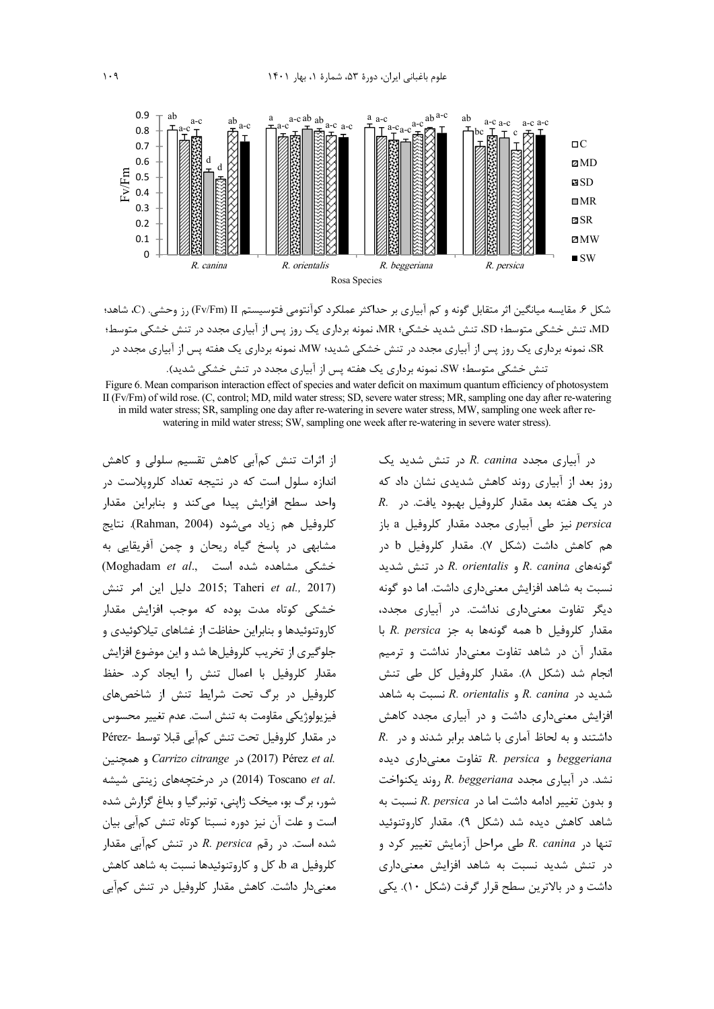

شكل ۶. مقايسه ميانگين اثر متقابل گونه و كم آبياري بر حداكثر عملكرد كوآنتومي فتوسيستم Fv/Fm) II) رز وحشي. (C، شاهد؛ MD، تنش خشکی متوسط؛ SD، تنش شدید خشکی؛ MR، نمونه برداری یک روز پس از آبیاری مجدد در تنش خشکی متوسط؛ sR، نمونه برداری یک روز پس از آبیاری مجدد در تنش خشکی شدید؛ MW، نمونه برداری یک هفته پس از آبیاری مجدد در تنش خشکی متوسط؛ SW، نمونه برداری یک هفته پس از آبیاری مجدد در تنش خشکی شدید).

Figure 6. Mean comparison interaction effect of species and water deficit on maximum quantum efficiency of photosystem II (Fv/Fm) of wild rose. (C, control; MD, mild water stress; SD, severe water stress; MR, sampling one day after re-watering in mild water stress; SR, sampling one day after re-watering in severe water stress, MW, sampling one week after rewatering in mild water stress; SW, sampling one week after re-watering in severe water stress).

از اثرات تنش کمآبی کاهش تقسیم سلولی و کاهش اندازه سلول است که در نتیجه تعداد کلروپلاست در واحد سطح افزایش پیدا میکند و بنابراین مقدار كلروفيل هم زياد مے شود (Rahman, 2004). نتايج مشابهی در پاسخ گیاه ریحان و چمن آفریقایی به خشکی مشاهده شده است ..Moghadam et al .2017) 2015; Taheri et al., 2017. دليل اين امر تنش خشکی کوتاه مدت بوده که موجب افزایش مقدار کاروتنوئیدها و بنابراین حفاظت از غشاهای تیلاکوئیدی و جلوگیری از تخریب کلروفیلها شد و این موضوع افزایش مقدار کلروفیل با اعمال تنش را ایجاد کرد. حفظ کلروفیل در برگ تحت شرایط تنش از شاخصهای فيزيولوژيكي مقاومت به تنش است. عدم تغيير محسوس در مقدار كلروفيل تحت تنش كمآبي قبلا توسط -Pérez Carrizo citrange , (2017) Pérez et al. .C014) Toscano et al (2014) در درختچههای زینتی شیشه شور، برگ بو، میخک ژاپنی، تونبرگیا و بداغ گزارش شده است و علت آن نیز دوره نسبتا کوتاه تنش کمآبی بیان شده است. در رقم R. persica در تنش کمآبی مقدار كلروفيل a، b، كل و كاروتنوئيدها نسبت به شاهد كاهش معنیدار داشت. کاهش مقدار کلروفیل در تنش کمآبی

در آبیاری مجدد R. canina در تنش شدید یک روز بعد از آبیاری روند کاهش شدیدی نشان داد که  $R$ . در یک هفته بعد مقدار کلروفیل بهبود یافت. در persica نیز طی آبیاری مجدد مقدار کلروفیل a باز هم كاهش داشت (شكل ۷). مقدار كلروفيل b در  $R.$  canina و R. orientalis در تنش شدید نسبت به شاهد افزایش معنے داری داشت. اما دو گونه دیگر تفاوت معنیداری نداشت. در آبیاری مجدد، مقدار كلروفيل b همه گونهها به جز R. persica با مقدار آن در شاهد تفاوت معنىدار نداشت و ترميم انجام شد (شكل ٨). مقدار كلروفيل كل طي تنش شدید در R. canina و R. orientalis نسبت به شاهد افزایش معنی داری داشت و در آبیاری مجدد کاهش  $R$ . داشتند و به لحاظ آماری با شاهد برابر شدند و در beggeriana و R. persica تفاوت معنى دارى ديده  $k$ . نشد. در آبیاری مجدد R. beggeriana روند یکنواخت و بدون تغییر ادامه داشت اما در R. persica نسبت به شاهد كاهش ديده شد (شكل ۹). مقدار كاروتنوئيد تنها در R. canina طی مراحل آزمایش تغییر کرد و در تنش شدید نسبت به شاهد افزایش معنیداری داشت و در بالاترین سطح قرار گرفت (شکل ۱۰). یکی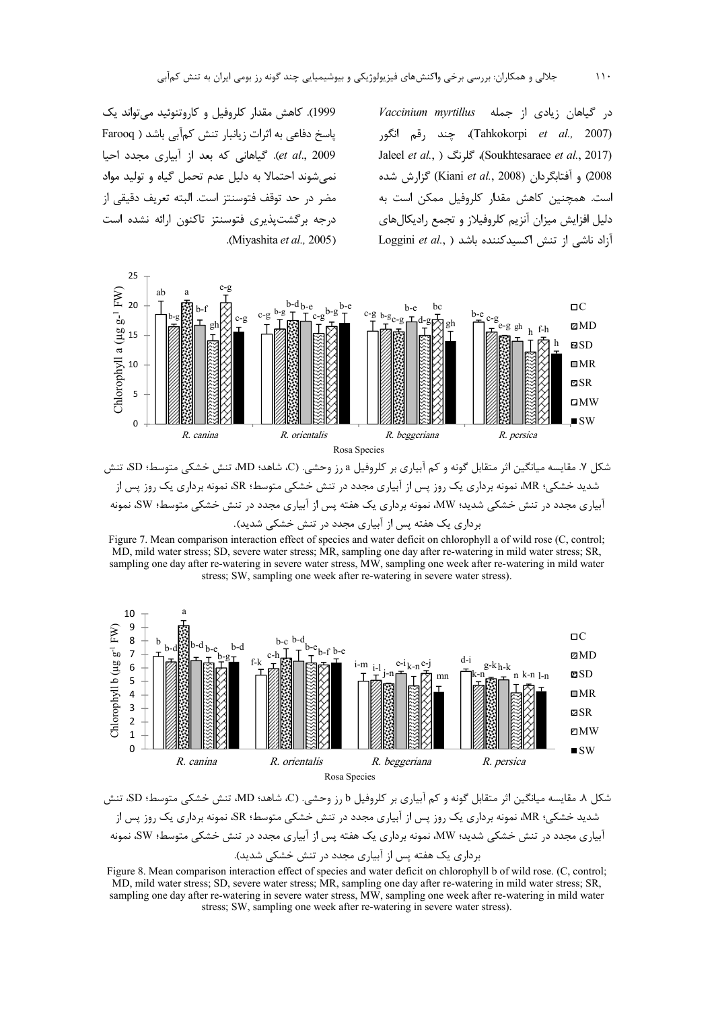در گیاهان زیادی از جمله Vaccinium myrtillus (Tahkokorpi *et al.,* 2007)، چند رقم انگور Jaleel et al., ) كلرنگ (Soukhtesaraee et al., 2017) 2008) و آفتابگردان (Kiani et al., 2008) گزارش شده است. همچنین کاهش مقدار کلروفیل ممکن است به دلیل افزایش میزان آنزیم کلروفیلاز و تجمع رادیکال های Loggini et al., ) ازاد ناشی از تنش اکسیدکننده باشد

1999). کاهش مقدار کلروفیل و کاروتنوئید می تواند یک پاسخ دفاعی به اثرات زیانبار تنش کمآبی باشد ( Farooq et al., 2009). گیاهانی که بعد از آبیاری مجدد احیا نمی شوند احتمالا به دلیل عدم تحمل گیاه و تولید مواد مضر در حد توقف فتوسنتز است. البته تعريف دقيقي از درجه برگشتیذیری فتوسنتز تاکنون ارائه نشده است .(Miyashita et al., 2005).



شدید خشکی؛ MR، نمونه برداری یک روز پس از آبیاری مجدد در تنش خشکی متوسط؛ SR، نمونه برداری یک روز پس از آبیاری مجدد در تنش خشکی شدید؛ MW، نمونه برداری یک هفته پس از آبیاری مجدد در تنش خشکی متوسط؛ SW، نمونه برداری یک هفته پس از آبیاری مجدد در تنش خشکی شدید).

Figure 7. Mean comparison interaction effect of species and water deficit on chlorophyll a of wild rose (C, control; MD, mild water stress; SD, severe water stress; MR, sampling one day after re-watering in mild water stress; SR, sampling one day after re-watering in severe water stress, MW, sampling one week after re-watering in mild water stress; SW, sampling one week after re-watering in severe water stress).



شكل ٨. مقايسه ميانگين اثر متقابل گونه و كم آبياري بر كلروفيل b رز وحشي. (C، شاهد؛ MD، تنش خشكي متوسط؛ SD، تنش شدید خشکی؛ MR، نمونه برداری یک روز پس از آبیاری مجدد در تنش خشکی متوسط؛ SR، نمونه برداری یک روز پس از آبیاری مجدد در تنش خشکی شدید؛ MW، نمونه برداری یک هفته پس از آبیاری مجدد در تنش خشکی متوسط؛ SW، نمونه برداری یک هفته پس از آبیاری مجدد در تنش خشکی شدید).

Figure 8. Mean comparison interaction effect of species and water deficit on chlorophyll b of wild rose. (C, control; MD, mild water stress; SD, severe water stress; MR, sampling one day after re-watering in mild water stress; SR, sampling one day after re-watering in severe water stress, MW, sampling one week after re-watering in mild water stress; SW, sampling one week after re-watering in severe water stress).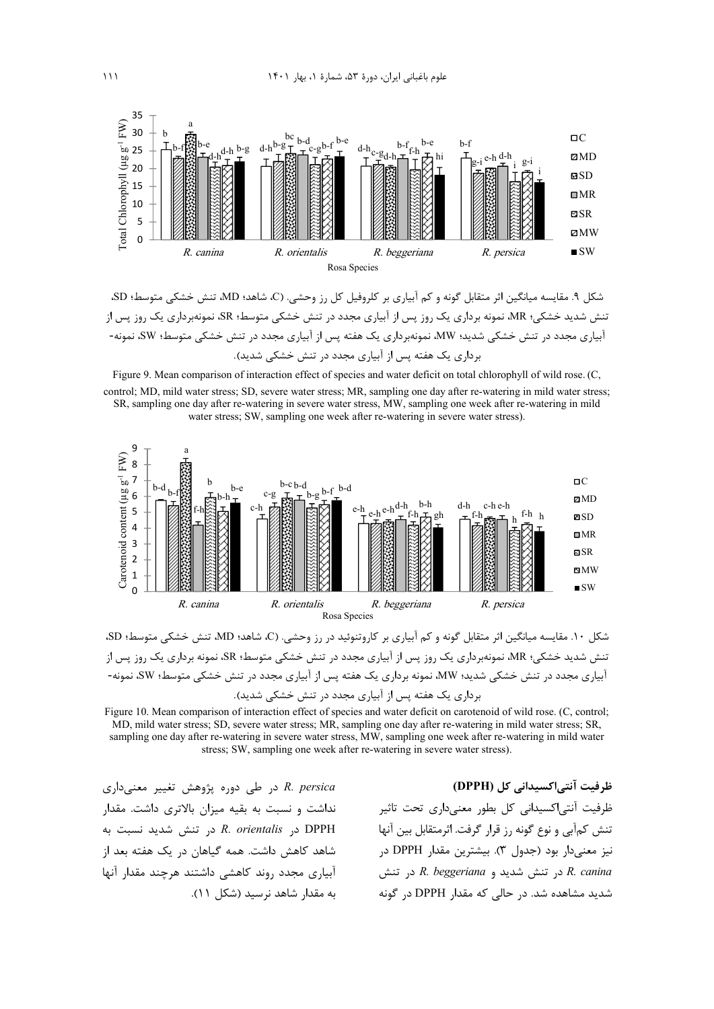

شكل ۹. مقايسه ميانگين اثر متقابل گونه و كم آبياري بر كلروفيل كل رز وحشي. (C، شاهد؛ MD، تنش خشكي متوسط؛ SD، ننش شدید خشکی؛ MR، نمونه برداری یک روز پس از آبیاری مجدد در تنش خشکی متوسط؛ SR، نمونهبرداری یک روز پس از آبیاری مجدد در تنش خشکی شدید؛ MW، نمونهبرداری یک هفته پس از آبیاری مجدد در تنش خشکی متوسط؛ SW، نمونه-برداری یک هفته پس از آبیاری مجدد در تنش خشکی شدید).

Figure 9. Mean comparison of interaction effect of species and water deficit on total chlorophyll of wild rose. (C, control; MD, mild water stress; SD, severe water stress; MR, sampling one day after re-watering in mild water stress; SR, sampling one day after re-watering in severe water stress, MW, sampling one week after re-watering in mild water stress; SW, sampling one week after re-watering in severe water stress).



شکل ۱۰. مقایسه میانگین اثر متقابل گونه و کم آبیاری بر کاروتنوئید در رز وحشی. (C، شاهد؛ MD، تنش خشکی متوسط؛ SD، ننش شدید خشکی؛ MR، نمونهبرداری یک روز پس از آبیاری مجدد در تنش خشکی متوسط؛ SR، نمونه برداری یک روز پس از آبیاری مجدد در تنش خشکی شدید؛ MW، نمونه برداری یک هفته پس از آبیاری مجدد در تنش خشکی متوسط؛ SW، نمونه-برداری یک هفته پس از آبیاری مجدد در تنش خشکی شدید).

Figure 10. Mean comparison of interaction effect of species and water deficit on carotenoid of wild rose. (C, control; MD, mild water stress; SD, severe water stress; MR, sampling one day after re-watering in mild water stress; SR, sampling one day after re-watering in severe water stress, MW, sampling one week after re-watering in mild water stress; SW, sampling one week after re-watering in severe water stress).

> ظرفیت آنتی اکسیدانی کل (DPPH) ظرفیت آنتی|کسیدانی کل بطور معنیداری تحت تاثیر تنش كمآبي و نوع گونه رز قرار گرفت. اثرمتقابل بين آنها نیز معنیدار بود (جدول ۳). بیشترین مقدار DPPH در در تنش شدید و R. beggeriana در تنش شدید مشاهده شد. در حالی که مقدار DPPH در گونه

R. persica در طی دوره پژوهش تغییر معنیداری نداشت و نسبت به بقیه میزان بالاتری داشت. مقدار در R. orientalis در تنش شديد نسبت به شاهد كاهش داشت. همه گیاهان در یک هفته بعد از آبیاری مجدد روند کاهشی داشتند هرچند مقدار آنها به مقدار شاهد نرسید (شکل ۱۱).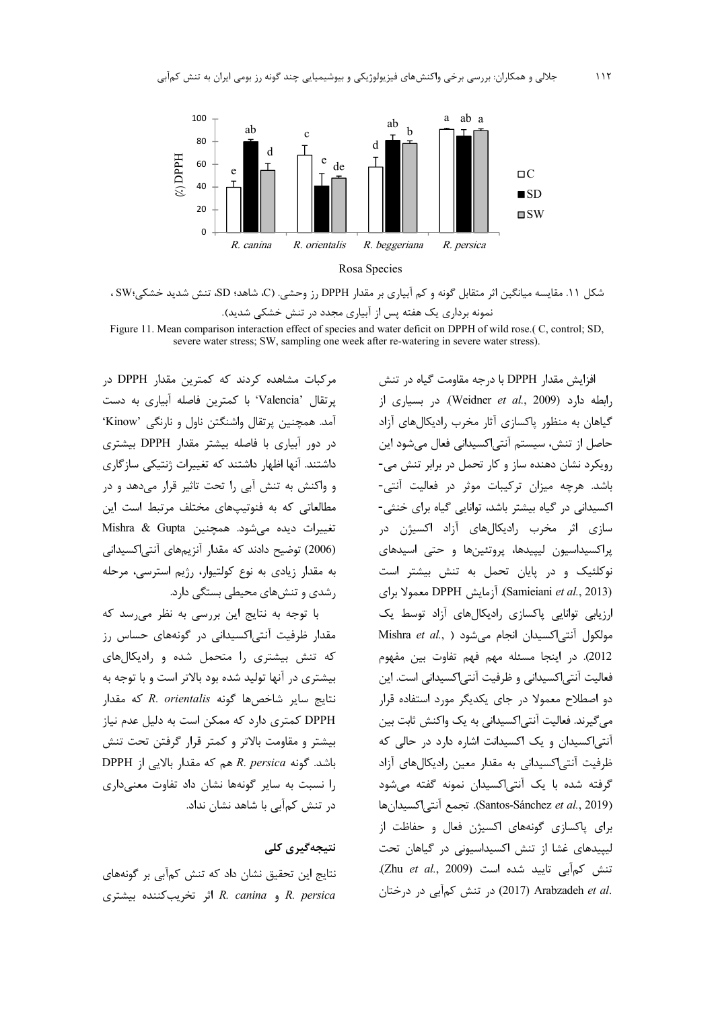

Rosa Species

شکل ۱۱. مقایسه میانگین اثر متقابل گونه و کم آبیاری بر مقدار DPPH رز وحشی. (C، شاهد؛ SD، تنش شدید خشکی؛SW ، نمونه برداری یک هفته پس از آبیاری مجدد در تنش خشکی شدید).

Figure 11. Mean comparison interaction effect of species and water deficit on DPPH of wild rose.(C, control; SD, severe water stress; SW, sampling one week after re-watering in severe water stress).

مرکبات مشاهده کردند که کمترین مقدار DPPH در يرتقال 'Valencia' با كمترين فاصله آبياري به دست آمد. همچنین پرتقال واشنگتن ناول و نارنگی 'Kinow' در دور آبیاری با فاصله بیشتر مقدار DPPH بیشتری داشتند. آنها اظهار داشتند که تغییرات ژنتیکی سازگاری و واکنش به تنش آبی را تحت تاثیر قرار میدهد و در مطالعاتی که به فنوتیپهای مختلف مرتبط است این Mishra & Gupta میشود. همچنین Mishra & Gupta (2006) توضیح دادند که مقدار آنزیمهای آنتی اکسیدانی به مقدار زیادی به نوع کولتیوار، رژیم استرسی، مرحله رشدی و تنشهای محیطی بستگی دارد.

با توجه به نتایج این بررسی به نظر میرسد که مقدار ظرفیت آنتی|کسیدانی در گونههای حساس رز که تنش بیشتری را متحمل شده و رادیکالهای بیشتری در آنها تولید شده بود بالاتر است و با توجه به نتايج ساير شاخصها گونه R. orientalis كه مقدار DPPH کمتری دارد که ممکن است به دلیل عدم نیاز بيشتر و مقاومت بالاتر و كمتر قرار گرفتن تحت تنش DPPH اباشد. گونه R. persica هم که مقدار بالایی از را نسبت به سایر گونهها نشان داد تفاوت معنیداری در تنش کمآبی با شاهد نشان نداد.

### نتیجەگیری کلی

نتایج این تحقیق نشان داد که تنش کمآبی بر گونههای و R. canina و R. canina اثر تخریب کننده بیشتری

افزايش مقدار DPPH با درجه مقاومت گياه در تنش زابطه دارد (Weidner et al., 2009). در بسیاری از گیاهان به منظور پاکسازی آثار مخرب رادیکالهای آزاد حاصل از تنش، سیستم آنتی|کسیدانی فعال میشود این رویکرد نشان دهنده ساز و کار تحمل در برابر تنش می-باشد. هرچه میزان ترکیبات موثر در فعالیت آنتی-اکسیدانی در گیاه بیشتر باشد، توانایی گیاه برای خنثی-سازی اثر مخرب رادیکالهای آزاد اکسیژن در پراکسیداسیون لیپیدها، پروتئینها و حتی اسیدهای نوکلئیک و در پایان تحمل به تنش بیشتر است (Samieiani et al., 2013). آزمایش DPPH معمولا برای ارزیابی توانایی پاکسازی رادیکالهای آزاد توسط یک Mishra et al., ) مولكول آنتي اكسيدان انجام مي شود 2012). در اینجا مسئله مهم فهم تفاوت بین مفهوم فعالیت آنتی|کسیدانی و ظرفیت آنتی|کسیدانی است. این دو اصطلاح معمولا در جای یکدیگر مورد استفاده قرار می گیرند. فعالیت آنتی|کسیدانی به یک واکنش ثابت بین آنتے اکسیدان و یک اکسیدانت اشارہ دارد در حالی که ظرفیت آنتیاکسیدانی به مقدار معین رادیکالهای آزاد گرفته شده با یک آنتی|کسیدان نمونه گفته میشود (Santos-Sánchez et al., 2019). تجمع آنتى اكسيدان ها برای پاکسازی گونههای اکسیژن فعال و حفاظت از لیپیدهای غشا از تنش اکسیداسیونی در گیاهان تحت تنش كمآبى تاييد شده است (Zhu et al., 2009). .c) در تنش كمآبي در درختان (2017) Arabzadeh et al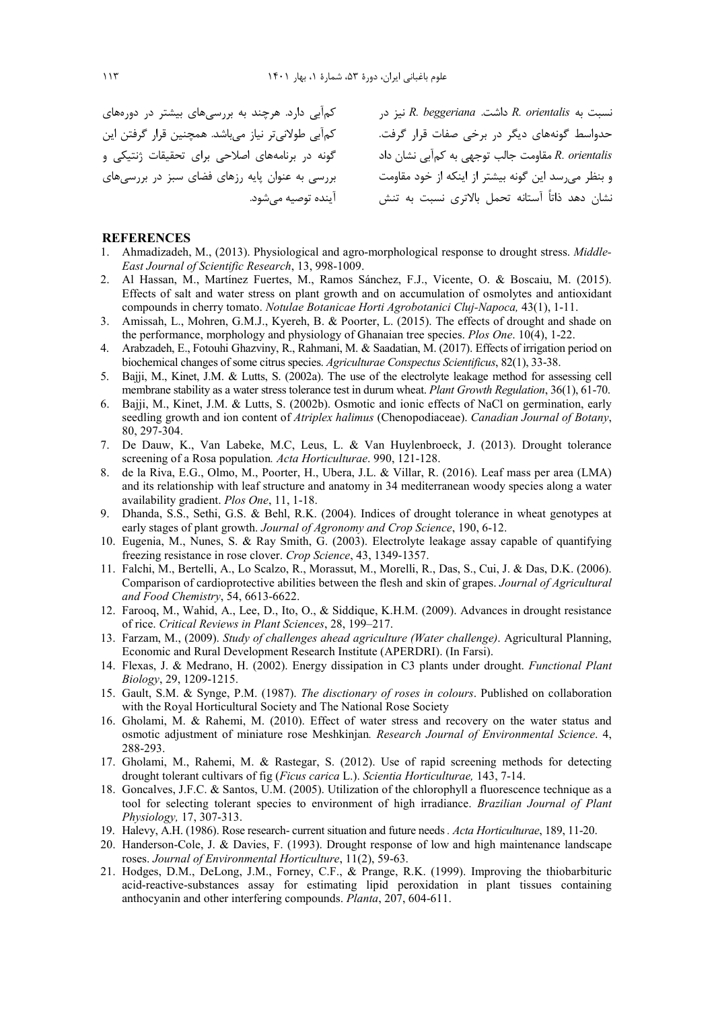نسبت به R. orientalis داشت. R. beggeriana نیز در مسلس کمآبی دارد. هرچند به بررسیهای بیشتر در دورههای R. orientalis هقاومت جالب توجهي به كمآبي نشان داد گونه در برنامههاي اصلاحي براي تحقيقات ژنتيكي و كمآبي طولانيتر نياز ميباشد. همچنين قرار گرفتن اين بررسی به عنوان پایه رزهای فضای سبز در بررسیهای أينده توصيه مىشود.

حدواسط گونههای دیگر در برخی صفات قرار گرفت. n. orientalis معوسی بعد و در در است.<br>و بنظر میرسد این گونه بیشتر از اینکه از خود مقاومت<br>است به هستنش نشان دهد ذاتاً آستانه تحمل بالاتری نسبت به تنش

### **REFERENCES**

- 1. Ahmadizadeh, M., (2013). Physiological and agro-morphological response to drought stress. *Middle-East Journal of Scientific Research*, 13, 998-1009.
- 2. Al Hassan, M., Martínez Fuertes, M., Ramos Sánchez, F.J., Vicente, O. & Boscaiu, M. (2015). Effects of salt and water stress on plant growth and on accumulation of osmolytes and antioxidant compounds in cherry tomato. *Notulae Botanicae Horti Agrobotanici Cluj-Napoca,* 43(1), 1-11.
- 3. Amissah, L., Mohren, G.M.J., Kyereh, B. & Poorter, L. (2015). The effects of drought and shade on the performance, morphology and physiology of Ghanaian tree species. *Plos One*. 10(4), 1-22.
- 4. Arabzadeh, E., Fotouhi Ghazviny, R., Rahmani, M. & Saadatian, M. (2017). Effects of irrigation period on biochemical changes of some citrus species. *Agriculturae Conspectus Scientificus*, 82(1), 33-38.
- 5. Bajji, M., Kinet, J.M. & Lutts, S. (2002a). The use of the electrolyte leakage method for assessing cell membrane stability as a water stress tolerance test in durum wheat. *Plant Growth Regulation*, 36(1), 61-70.
- 6. Bajji, M., Kinet, J.M. & Lutts, S. (2002b). Osmotic and ionic effects of NaCl on germination, early seedling growth and ion content of *Atriplex halimus* (Chenopodiaceae). *Canadian Journal of Botany*, 80, 297-304.
- 7. De Dauw, K., Van Labeke, M.C, Leus, L. & Van Huylenbroeck, J. (2013). Drought tolerance screening of a Rosa population*. Acta Horticulturae*. 990, 121-128.
- 8. de la Riva, E.G., Olmo, M., Poorter, H., Ubera, J.L. & Villar, R. (2016). Leaf mass per area (LMA) and its relationship with leaf structure and anatomy in 34 mediterranean woody species along a water availability gradient. *Plos One*, 11, 1-18.
- 9. Dhanda, S.S., Sethi, G.S. & Behl, R.K. (2004). Indices of drought tolerance in wheat genotypes at early stages of plant growth. *Journal of Agronomy and Crop Science*, 190, 6-12.
- 10. Eugenia, M., Nunes, S. & Ray Smith, G. (2003). Electrolyte leakage assay capable of quantifying freezing resistance in rose clover. *Crop Science*, 43, 1349-1357.
- 11. Falchi, M., Bertelli, A., Lo Scalzo, R., Morassut, M., Morelli, R., Das, S., Cui, J. & Das, D.K. (2006). Comparison of cardioprotective abilities between the flesh and skin of grapes. *Journal of Agricultural and Food Chemistry*, 54, 6613-6622.
- 12. Farooq, M., Wahid, A., Lee, D., Ito, O., & Siddique, K.H.M. (2009). Advances in drought resistance of rice. *Critical Reviews in Plant Sciences*, 28, 199–217.
- 13. Farzam, M., (2009). *Study of challenges ahead agriculture (Water challenge)*. Agricultural Planning, Economic and Rural Development Research Institute (APERDRI). (In Farsi).
- 14. Flexas, J. & Medrano, H. (2002). Energy dissipation in C3 plants under drought. *Functional Plant Biology*, 29, 1209-1215.
- 15. Gault, S.M. & Synge, P.M. (1987). *The disctionary of roses in colours*. Published on collaboration with the Royal Horticultural Society and The National Rose Society
- 16. Gholami, M. & Rahemi, M. (2010). Effect of water stress and recovery on the water status and osmotic adjustment of miniature rose Meshkinjan*. Research Journal of Environmental Science*. 4, 288-293.
- 17. Gholami, M., Rahemi, M. & Rastegar, S. (2012). Use of rapid screening methods for detecting drought tolerant cultivars of fig (*Ficus carica* L.). *Scientia Horticulturae,* 143, 7-14.
- 18. Goncalves, J.F.C. & Santos, U.M. (2005). Utilization of the chlorophyll a fluorescence technique as a tool for selecting tolerant species to environment of high irradiance. *Brazilian Journal of Plant Physiology,* 17, 307-313.
- 19. Halevy, A.H. (1986). Rose research- current situation and future needs *. Acta Horticulturae*, 189, 11-20.
- 20. Handerson-Cole, J. & Davies, F. (1993). Drought response of low and high maintenance landscape roses. *Journal of Environmental Horticulture*, 11(2), 59-63.
- 21. Hodges, D.M., DeLong, J.M., Forney, C.F., & Prange, R.K. (1999). Improving the thiobarbituric acid-reactive-substances assay for estimating lipid peroxidation in plant tissues containing anthocyanin and other interfering compounds. *Planta*, 207, 604-611.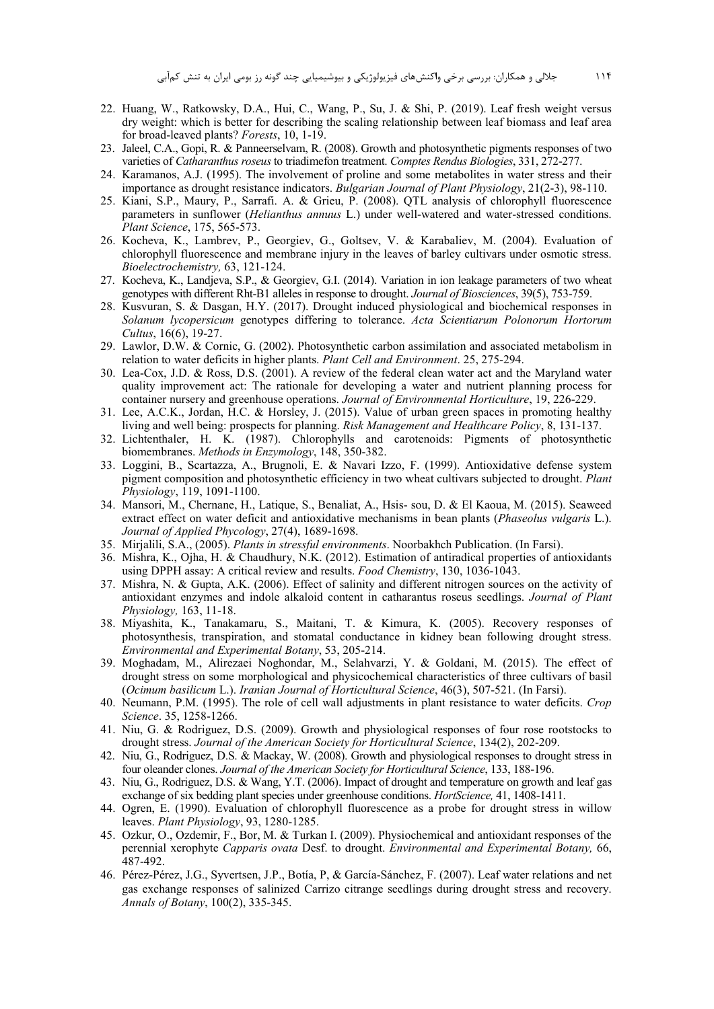- 22. Huang, W., Ratkowsky, D.A., Hui, C., Wang, P., Su, J. & Shi, P. (2019). Leaf fresh weight versus dry weight: which is better for describing the scaling relationship between leaf biomass and leaf area for broad-leaved plants? *Forests*, 10, 1-19.
- 23. Jaleel, C.A., Gopi, R. & Panneerselvam, R. (2008). Growth and photosynthetic pigments responses of two varieties of *Catharanthus roseus* to triadimefon treatment. *Comptes Rendus Biologies*, 331, 272-277.
- 24. Karamanos, A.J. (1995). The involvement of proline and some metabolites in water stress and their importance as drought resistance indicators. *Bulgarian Journal of Plant Physiology*, 21(2-3), 98-110.
- 25. Kiani, S.P., Maury, P., Sarrafi. A. & Grieu, P. (2008). QTL analysis of chlorophyll fluorescence parameters in sunflower (*Helianthus annuus* L.) under well-watered and water-stressed conditions. *Plant Science*, 175, 565-573.
- 26. Kocheva, K., Lambrev, P., Georgiev, G., Goltsev, V. & Karabaliev, M. (2004). Evaluation of chlorophyll fluorescence and membrane injury in the leaves of barley cultivars under osmotic stress. *Bioelectrochemistry,* 63, 121-124.
- 27. Kocheva, K., Landjeva, S.P., & Georgiev, G.I. (2014). Variation in ion leakage parameters of two wheat genotypes with different Rht-B1 alleles in response to drought. *Journal of Biosciences*, 39(5), 753-759.
- 28. Kusvuran, S. & Dasgan, H.Y. (2017). Drought induced physiological and biochemical responses in *Solanum lycopersicum* genotypes differing to tolerance. *Acta Scientiarum Polonorum Hortorum Cultus*, 16(6), 19-27.
- 29. Lawlor, D.W. & Cornic, G. (2002). Photosynthetic carbon assimilation and associated metabolism in relation to water deficits in higher plants. *Plant Cell and Environment*. 25, 275-294.
- 30. Lea-Cox, J.D. & Ross, D.S. (2001). A review of the federal clean water act and the Maryland water quality improvement act: The rationale for developing a water and nutrient planning process for container nursery and greenhouse operations. *Journal of Environmental Horticulture*, 19, 226-229.
- 31. Lee, A.C.K., Jordan, H.C. & Horsley, J. (2015). Value of urban green spaces in promoting healthy living and well being: prospects for planning. *Risk Management and Healthcare Policy*, 8, 131-137.
- 32. Lichtenthaler, H. K. (1987). Chlorophylls and carotenoids: Pigments of photosynthetic biomembranes. *Methods in Enzymology*, 148, 350-382.
- 33. Loggini, B., Scartazza, A., Brugnoli, E. & Navari Izzo, F. (1999). Antioxidative defense system pigment composition and photosynthetic efficiency in two wheat cultivars subjected to drought. *Plant Physiology*, 119, 1091-1100.
- 34. Mansori, M., Chernane, H., Latique, S., Benaliat, A., Hsis- sou, D. & El Kaoua, M. (2015). Seaweed extract effect on water deficit and antioxidative mechanisms in bean plants (*Phaseolus vulgaris* L.). *Journal of Applied Phycology*, 27(4), 1689-1698.
- 35. Mirjalili, S.A., (2005). *Plants in stressful environments*. Noorbakhch Publication. (In Farsi).
- 36. Mishra, K., Ojha, H. & Chaudhury, N.K. (2012). Estimation of antiradical properties of antioxidants using DPPH assay: A critical review and results. *Food Chemistry*, 130, 1036-1043.
- 37. Mishra, N. & Gupta, A.K. (2006). Effect of salinity and different nitrogen sources on the activity of antioxidant enzymes and indole alkaloid content in catharantus roseus seedlings. *Journal of Plant Physiology,* 163, 11-18.
- 38. Miyashita, K., Tanakamaru, S., Maitani, T. & Kimura, K. (2005). Recovery responses of photosynthesis, transpiration, and stomatal conductance in kidney bean following drought stress. *Environmental and Experimental Botany*, 53, 205-214.
- 39. Moghadam, M., Alirezaei Noghondar, M., Selahvarzi, Y. & Goldani, M. (2015). The effect of drought stress on some morphological and physicochemical characteristics of three cultivars of basil (*Ocimum basilicum* L.). *Iranian Journal of Horticultural Science*, 46(3), 507-521. (In Farsi).
- 40. Neumann, P.M. (1995). The role of cell wall adjustments in plant resistance to water deficits. *Crop Science*. 35, 1258-1266.
- 41. Niu, G. & Rodriguez, D.S. (2009). Growth and physiological responses of four rose rootstocks to drought stress. *Journal of the American Society for Horticultural Science*, 134(2), 202-209.
- 42. Niu, G., Rodriguez, D.S. & Mackay, W. (2008). Growth and physiological responses to drought stress in four oleander clones. *Journal of the American Society for Horticultural Science*, 133, 188-196.
- 43. Niu, G., Rodriguez, D.S. & Wang, Y.T. (2006). Impact of drought and temperature on growth and leaf gas exchange of six bedding plant species under greenhouse conditions. *HortScience,* 41, 1408-1411.
- 44. Ogren, E. (1990). Evaluation of chlorophyll fluorescence as a probe for drought stress in willow leaves. *Plant Physiology*, 93, 1280-1285.
- 45. Ozkur, O., Ozdemir, F., Bor, M. & Turkan I. (2009). Physiochemical and antioxidant responses of the perennial xerophyte *Capparis ovata* Desf. to drought. *Environmental and Experimental Botany,* 66, 487-492.
- 46. Pérez-Pérez, J.G., Syvertsen, J.P., Botía, P, & García-Sánchez, F. (2007). Leaf water relations and net gas exchange responses of salinized Carrizo citrange seedlings during drought stress and recovery. *Annals of Botany*, 100(2), 335-345.